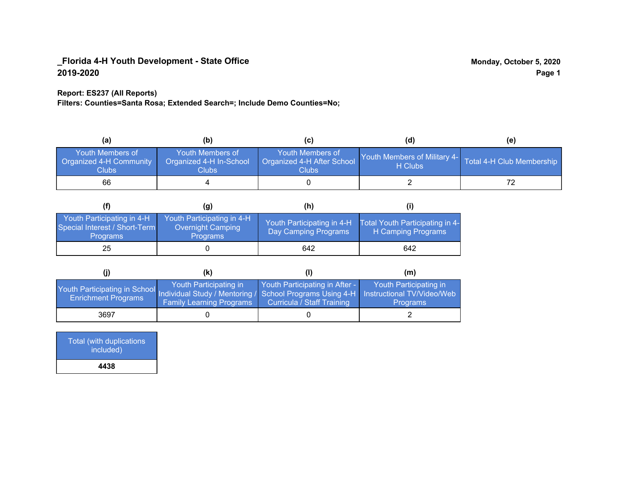#### **Report: ES237 (All Reports)**

**Filters: Counties=Santa Rosa; Extended Search=; Include Demo Counties=No;**

| (a)                                                         | (b)                                                         | (C)                                                            | (d)                                     | (e)                       |
|-------------------------------------------------------------|-------------------------------------------------------------|----------------------------------------------------------------|-----------------------------------------|---------------------------|
| Youth Members of<br><b>Organized 4-H Community</b><br>Clubs | Youth Members of<br>Organized 4-H In-School<br><b>Clubs</b> | Youth Members of<br>Organized 4-H After School<br><b>Clubs</b> | Youth Members of Military 4-<br>H Clubs | Total 4-H Club Membership |
| 66                                                          |                                                             |                                                                |                                         |                           |

|                                                                                | (g)                                                                       | (h)                                                 |                                                       |
|--------------------------------------------------------------------------------|---------------------------------------------------------------------------|-----------------------------------------------------|-------------------------------------------------------|
| Youth Participating in 4-H<br>Special Interest / Short-Term<br><b>Programs</b> | Youth Participating in 4-H<br><b>Overnight Camping</b><br><b>Programs</b> | Youth Participating in 4-H.<br>Day Camping Programs | Total Youth Participating in 4-<br>H Camping Programs |
| 25                                                                             |                                                                           | 642                                                 | 642                                                   |

|                                                                                                                                                 | (k)                                                       |                                                              | (m)                                       |
|-------------------------------------------------------------------------------------------------------------------------------------------------|-----------------------------------------------------------|--------------------------------------------------------------|-------------------------------------------|
| Youth Participating in School Individual Study / Mentoring / School Programs Using 4-H Instructional TV/Video/Web<br><b>Enrichment Programs</b> | Youth Participating in<br><b>Family Learning Programs</b> | Youth Participating in After -<br>Curricula / Staff Training | Youth Participating in<br><b>Programs</b> |
| 3697                                                                                                                                            |                                                           |                                                              |                                           |

Total (with duplications included) **4438**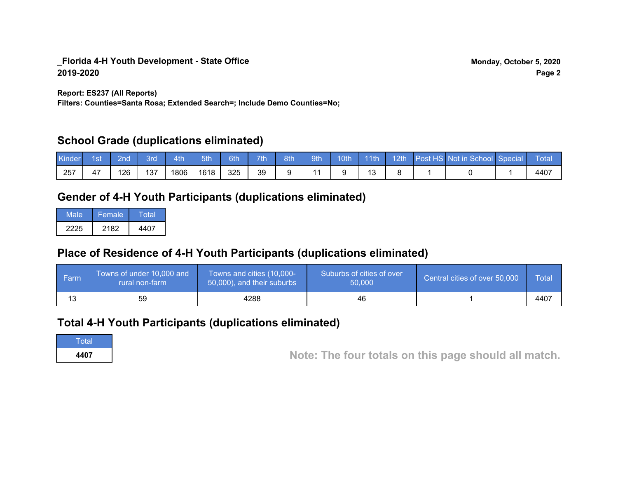**Report: ES237 (All Reports)**

**Filters: Counties=Santa Rosa; Extended Search=; Include Demo Counties=No;**

## **School Grade (duplications eliminated)**

| Kinder | 1st | 2 <sub>nd</sub> | 3rd | 4th/ | $-5th$ | 6th | 7th 8th | 9th |  |  | 10th 11th 12th Post HS Not in School Special | ⊟ Total |
|--------|-----|-----------------|-----|------|--------|-----|---------|-----|--|--|----------------------------------------------|---------|
| 257    |     | '26             | 137 | 1806 | 1618   | 325 | 39      |     |  |  |                                              | 4407    |

## **Gender of 4-H Youth Participants (duplications eliminated)**

| Male | Female | Total |
|------|--------|-------|
| 2225 | 2182   | 4407  |

# **Place of Residence of 4-H Youth Participants (duplications eliminated)**

| l Farm | Towns of under 10,000 and<br>rural non-farm | Towns and cities (10,000-<br>50,000), and their suburbs | Suburbs of cities of over<br>50,000 | Central cities of over 50,000 | Total |
|--------|---------------------------------------------|---------------------------------------------------------|-------------------------------------|-------------------------------|-------|
| 13     | 59                                          | 4288                                                    | 46                                  |                               | 4407  |

## **Total 4-H Youth Participants (duplications eliminated)**

Total

**<sup>4407</sup> Note: The four totals on this page should all match.**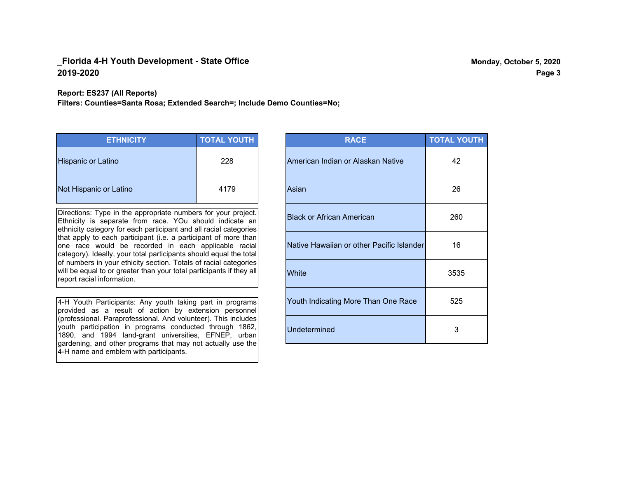#### **Report: ES237 (All Reports)**

**Filters: Counties=Santa Rosa; Extended Search=; Include Demo Counties=No;**

| <b>ETHNICITY</b>          | <b>TOTAL YOUTH</b> |
|---------------------------|--------------------|
| <b>Hispanic or Latino</b> | 228                |
| Not Hispanic or Latino    | 4179               |

Directions: Type in the appropriate numbers for your project. Ethnicity is separate from race. YOu should indicate an ethnicity category for each participant and all racial categories that apply to each participant (i.e. a participant of more than one race would be recorded in each applicable racial category). Ideally, your total participants should equal the total of numbers in your ethicity section. Totals of racial categories will be equal to or greater than your total participants if they all report racial information.

4-H Youth Participants: Any youth taking part in programs provided as a result of action by extension personnel (professional. Paraprofessional. And volunteer). This includes youth participation in programs conducted through 1862, 1890, and 1994 land-grant universities, EFNEP, urban gardening, and other programs that may not actually use the 4-H name and emblem with participants.

| <b>RACE</b>                               | <b>TOTAL YOUTH</b> |
|-------------------------------------------|--------------------|
| American Indian or Alaskan Native         | 42                 |
| Asian                                     | 26                 |
| <b>Black or African American</b>          | 260                |
| Native Hawaiian or other Pacific Islander | 16                 |
| White                                     | 3535               |
| Youth Indicating More Than One Race       | 525                |
| <b>Undetermined</b>                       | 3                  |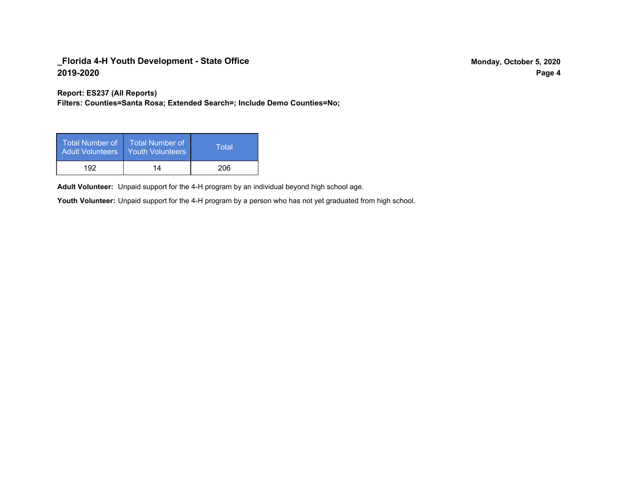**Report: ES237 (All Reports)**

**Filters: Counties=Santa Rosa; Extended Search=; Include Demo Counties=No;**

| Total Number of<br><b>Adult Volunteers</b> | <b>Total Number of</b><br>Youth Volunteers | Total |
|--------------------------------------------|--------------------------------------------|-------|
| 192                                        | 14                                         | 206   |

Adult Volunteer: Unpaid support for the 4-H program by an individual beyond high school age.

Youth Volunteer: Unpaid support for the 4-H program by a person who has not yet graduated from high school.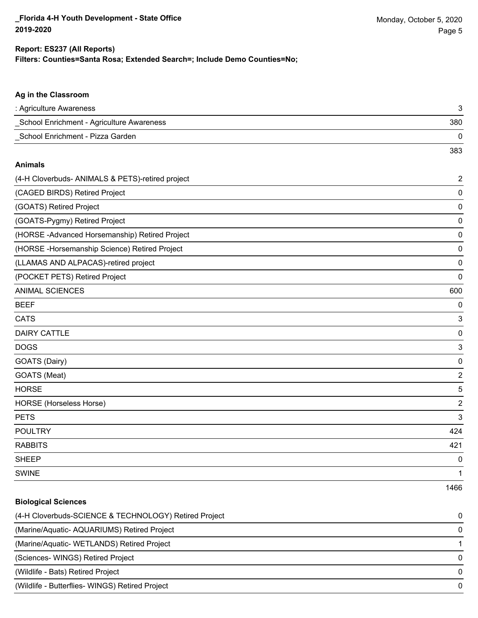**Ag in the Classroom**

383

1466

#### **Filters: Counties=Santa Rosa; Extended Search=; Include Demo Counties=No; Report: ES237 (All Reports)**

# : Agriculture Awareness 3 \_School Enrichment - Agriculture Awareness 380 \_School Enrichment - Pizza Garden 0 **Animals** (4-H Cloverbuds- ANIMALS & PETS)-retired project 2 (CAGED BIRDS) Retired Project 0 (GOATS) Retired Project 0 (GOATS-Pygmy) Retired Project 0 (HORSE -Advanced Horsemanship) Retired Project 0 (HORSE -Horsemanship Science) Retired Project 0 (LLAMAS AND ALPACAS)-retired project 0 (POCKET PETS) Retired Project 0 ANIMAL SCIENCES 600 BEEF 0

 $\blacksquare$  CATS  $\blacksquare$  3 DAIRY CATTLE 0 do distribution of the contract of the contract of the contract of the contract of the contract of the contract of the contract of the contract of the contract of the contract of the contract of the contract of the contrac GOATS (Dairy) 0 GOATS (Meat) 2 HORSE 5 HORSE (Horseless Horse) 2 PETS 3 POULTRY 424 RABBITS 421 sheep to the control of the control of the control of the control of the control of the control of the control of the control of the control of the control of the control of the control of the control of the control of the SWINE 2008 and 2008 and 2008 and 2008 and 2008 and 2008 and 2008 and 2008 and 2008 and 2008 and 2008 and 2008

# **Biological Sciences** (4-H Cloverbuds-SCIENCE & TECHNOLOGY) Retired Project 0 (Marine/Aquatic- AQUARIUMS) Retired Project 0 (Marine/Aquatic- WETLANDS) Retired Project 1 (Sciences- WINGS) Retired Project 0 (Wildlife - Bats) Retired Project 0 (Wildlife - Butterflies- WINGS) Retired Project 0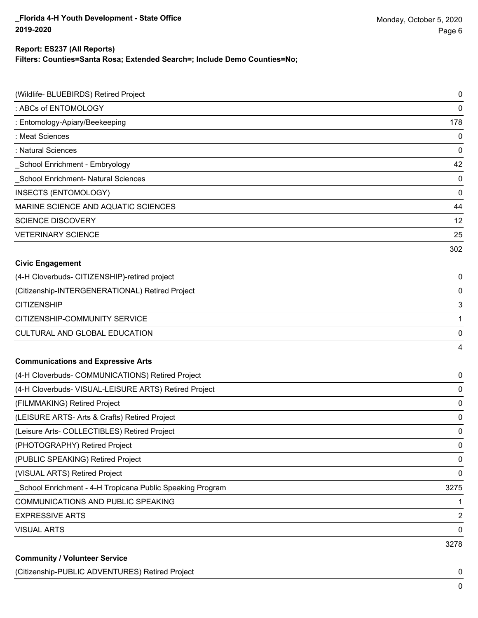**Filters: Counties=Santa Rosa; Extended Search=; Include Demo Counties=No;**

| (Wildlife- BLUEBIRDS) Retired Project                     | $\pmb{0}$      |
|-----------------------------------------------------------|----------------|
| : ABCs of ENTOMOLOGY                                      | $\mathbf 0$    |
| : Entomology-Apiary/Beekeeping                            | 178            |
| : Meat Sciences                                           | $\mathbf 0$    |
| : Natural Sciences                                        | $\mathbf 0$    |
| School Enrichment - Embryology                            | 42             |
| School Enrichment- Natural Sciences                       | $\mathbf 0$    |
| INSECTS (ENTOMOLOGY)                                      | 0              |
| MARINE SCIENCE AND AQUATIC SCIENCES                       | 44             |
| <b>SCIENCE DISCOVERY</b>                                  | 12             |
| <b>VETERINARY SCIENCE</b>                                 | 25             |
|                                                           | 302            |
| <b>Civic Engagement</b>                                   |                |
| (4-H Cloverbuds- CITIZENSHIP)-retired project             | 0              |
| (Citizenship-INTERGENERATIONAL) Retired Project           | $\mathbf 0$    |
| <b>CITIZENSHIP</b>                                        | 3              |
| CITIZENSHIP-COMMUNITY SERVICE                             | 1              |
| CULTURAL AND GLOBAL EDUCATION                             | 0              |
|                                                           | $\overline{4}$ |
| <b>Communications and Expressive Arts</b>                 |                |
| (4-H Cloverbuds- COMMUNICATIONS) Retired Project          | 0              |
| (4-H Cloverbuds- VISUAL-LEISURE ARTS) Retired Project     | 0              |
| (FILMMAKING) Retired Project                              | 0              |
| (LEISURE ARTS- Arts & Crafts) Retired Project             | 0              |
| (Leisure Arts- COLLECTIBLES) Retired Project              | 0              |
| (PHOTOGRAPHY) Retired Project                             | 0              |
| (PUBLIC SPEAKING) Retired Project                         | $\mathbf 0$    |
| (VISUAL ARTS) Retired Project                             | $\mathbf 0$    |
| School Enrichment - 4-H Tropicana Public Speaking Program | 3275           |
| COMMUNICATIONS AND PUBLIC SPEAKING                        | 1              |
| <b>EXPRESSIVE ARTS</b>                                    | $\overline{2}$ |
| <b>VISUAL ARTS</b>                                        | 0              |
|                                                           | 3278           |
| <b>Community / Volunteer Service</b>                      |                |

(Citizenship-PUBLIC ADVENTURES) Retired Project 0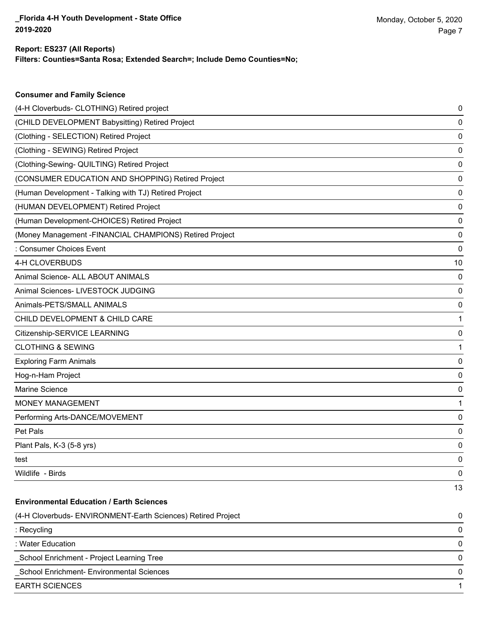**Consumer and Family Science**

**Filters: Counties=Santa Rosa; Extended Search=; Include Demo Counties=No;**

| (4-H Cloverbuds- CLOTHING) Retired project                   | 0  |
|--------------------------------------------------------------|----|
| (CHILD DEVELOPMENT Babysitting) Retired Project              | 0  |
| (Clothing - SELECTION) Retired Project                       | 0  |
| (Clothing - SEWING) Retired Project                          | 0  |
| (Clothing-Sewing- QUILTING) Retired Project                  | 0  |
| (CONSUMER EDUCATION AND SHOPPING) Retired Project            | 0  |
| (Human Development - Talking with TJ) Retired Project        | 0  |
| (HUMAN DEVELOPMENT) Retired Project                          | 0  |
| (Human Development-CHOICES) Retired Project                  | 0  |
| (Money Management -FINANCIAL CHAMPIONS) Retired Project      | 0  |
| : Consumer Choices Event                                     | 0  |
| 4-H CLOVERBUDS                                               | 10 |
| Animal Science- ALL ABOUT ANIMALS                            | 0  |
| Animal Sciences- LIVESTOCK JUDGING                           | 0  |
| Animals-PETS/SMALL ANIMALS                                   | 0  |
| CHILD DEVELOPMENT & CHILD CARE                               |    |
| Citizenship-SERVICE LEARNING                                 | 0  |
| <b>CLOTHING &amp; SEWING</b>                                 |    |
| <b>Exploring Farm Animals</b>                                | 0  |
| Hog-n-Ham Project                                            | 0  |
| Marine Science                                               | 0  |
| <b>MONEY MANAGEMENT</b>                                      |    |
| Performing Arts-DANCE/MOVEMENT                               | 0  |
| Pet Pals                                                     | 0  |
| Plant Pals, K-3 (5-8 yrs)                                    | 0  |
| test                                                         | 0  |
| Wildlife - Birds                                             | 0  |
|                                                              | 13 |
| <b>Environmental Education / Earth Sciences</b>              |    |
| (4-H Cloverbuds- ENVIRONMENT-Earth Sciences) Retired Project | 0  |
| : Recycling                                                  | 0  |
| : Water Education                                            | 0  |
| School Enrichment - Project Learning Tree                    | 0  |
| School Enrichment- Environmental Sciences                    | 0  |
| <b>EARTH SCIENCES</b>                                        |    |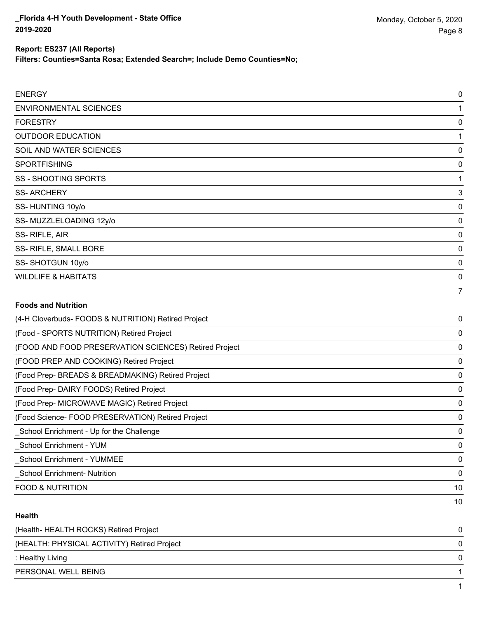**Filters: Counties=Santa Rosa; Extended Search=; Include Demo Counties=No;**

| <b>ENERGY</b>                                         | 0        |
|-------------------------------------------------------|----------|
| <b>ENVIRONMENTAL SCIENCES</b>                         | 1        |
| <b>FORESTRY</b>                                       | 0        |
| <b>OUTDOOR EDUCATION</b>                              | 1        |
| SOIL AND WATER SCIENCES                               | 0        |
| <b>SPORTFISHING</b>                                   | 0        |
| <b>SS - SHOOTING SPORTS</b>                           | 1        |
| <b>SS-ARCHERY</b>                                     | 3        |
| SS-HUNTING 10y/o                                      | 0        |
| SS-MUZZLELOADING 12y/o                                | 0        |
| SS-RIFLE, AIR                                         | 0        |
| SS- RIFLE, SMALL BORE                                 | 0        |
| SS-SHOTGUN 10y/o                                      | $\Omega$ |
| <b>WILDLIFE &amp; HABITATS</b>                        | $\Omega$ |
|                                                       | 7        |
| <b>Foods and Nutrition</b>                            |          |
| (4-H Cloverbuds- FOODS & NUTRITION) Retired Project   | 0        |
| (Food - SPORTS NUTRITION) Retired Project             | 0        |
| (FOOD AND FOOD PRESERVATION SCIENCES) Retired Project | 0        |
| (FOOD PREP AND COOKING) Retired Project               | 0        |

(Food Prep- BREADS & BREADMAKING) Retired Project 0

(Food Prep- DAIRY FOODS) Retired Project 0

(Food Prep- MICROWAVE MAGIC) Retired Project 0

(Food Science- FOOD PRESERVATION) Retired Project 0 \_School Enrichment - Up for the Challenge 0

\_School Enrichment - YUM 0

\_School Enrichment - YUMMEE 0

\_School Enrichment- Nutrition 0

FOOD & NUTRITION 10

#### **Health**

| (Health-HEALTH ROCKS) Retired Project       |  |
|---------------------------------------------|--|
| (HEALTH: PHYSICAL ACTIVITY) Retired Project |  |
| : Healthy Living                            |  |
| PERSONAL WELL BEING                         |  |
|                                             |  |

10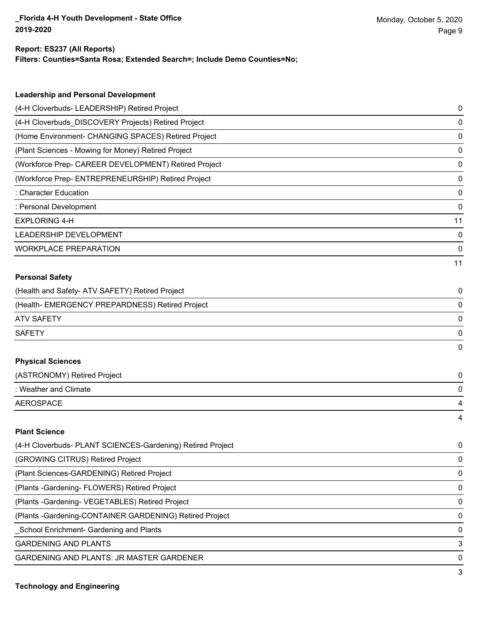**Filters: Counties=Santa Rosa; Extended Search=; Include Demo Counties=No;**

| <b>Leadership and Personal Development</b>                 |    |
|------------------------------------------------------------|----|
| (4-H Cloverbuds- LEADERSHIP) Retired Project               | 0  |
| (4-H Cloverbuds_DISCOVERY Projects) Retired Project        | 0  |
| (Home Environment- CHANGING SPACES) Retired Project        | 0  |
| (Plant Sciences - Mowing for Money) Retired Project        | 0  |
| (Workforce Prep- CAREER DEVELOPMENT) Retired Project       | 0  |
| (Workforce Prep- ENTREPRENEURSHIP) Retired Project         | 0  |
| : Character Education                                      | 0  |
| : Personal Development                                     | 0  |
| <b>EXPLORING 4-H</b>                                       | 11 |
| LEADERSHIP DEVELOPMENT                                     | 0  |
| <b>WORKPLACE PREPARATION</b>                               | 0  |
|                                                            | 11 |
| <b>Personal Safety</b>                                     |    |
| (Health and Safety- ATV SAFETY) Retired Project            | 0  |
| (Health- EMERGENCY PREPARDNESS) Retired Project            | 0  |
| <b>ATV SAFETY</b>                                          | 0  |
| <b>SAFETY</b>                                              | 0  |
|                                                            | 0  |
| <b>Physical Sciences</b>                                   |    |
| (ASTRONOMY) Retired Project                                | 0  |
| : Weather and Climate                                      | 0  |
| <b>AEROSPACE</b>                                           | 4  |
|                                                            | 4  |
| <b>Plant Science</b>                                       |    |
| (4-H Cloverbuds- PLANT SCIENCES-Gardening) Retired Project | 0  |
| (GROWING CITRUS) Retired Project                           | 0  |
| (Plant Sciences-GARDENING) Retired Project                 | 0  |
| (Plants - Gardening - FLOWERS) Retired Project             | 0  |
| (Plants - Gardening - VEGETABLES) Retired Project          | 0  |

(Plants -Gardening-CONTAINER GARDENING) Retired Project 0

\_School Enrichment- Gardening and Plants 0

GARDENING AND PLANTS 3

GARDENING AND PLANTS: JR MASTER GARDENER 0